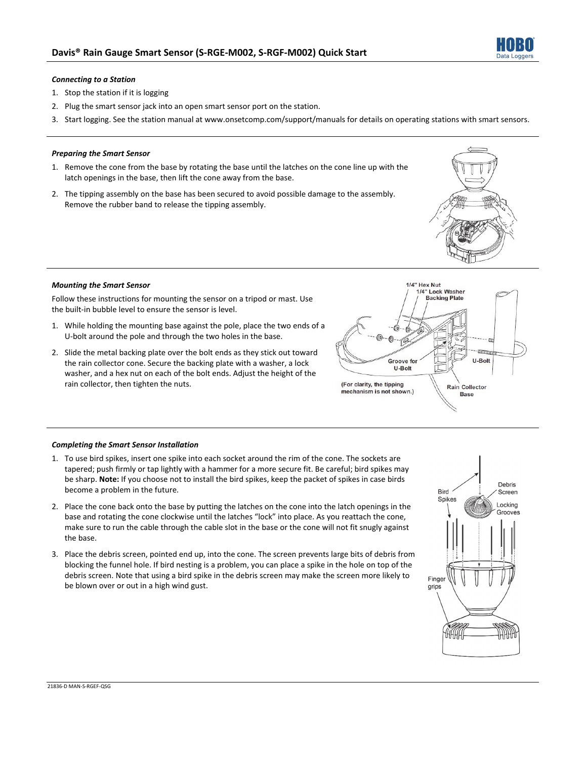

# *Connecting to a Station*

- 1. Stop the station if it is logging
- 2. Plug the smart sensor jack into an open smart sensor port on the station.
- 3. Start logging. See the station manual at www.onsetcomp.com/support/manuals for details on operating stations with smart sensors.

## *Preparing the Smart Sensor*

- 1. Remove the cone from the base by rotating the base until the latches on the cone line up with the latch openings in the base, then lift the cone away from the base.
- 2. The tipping assembly on the base has been secured to avoid possible damage to the assembly. Remove the rubber band to release the tipping assembly.



# *Mounting the Smart Sensor*

Follow these instructions for mounting the sensor on a tripod or mast. Use the built-in bubble level to ensure the sensor is level.

- 1. While holding the mounting base against the pole, place the two ends of a U-bolt around the pole and through the two holes in the base.
- 2. Slide the metal backing plate over the bolt ends as they stick out toward the rain collector cone. Secure the backing plate with a washer, a lock washer, and a hex nut on each of the bolt ends. Adjust the height of the rain collector, then tighten the nuts.



#### *Completing the Smart Sensor Installation*

- 1. To use bird spikes, insert one spike into each socket around the rim of the cone. The sockets are tapered; push firmly or tap lightly with a hammer for a more secure fit. Be careful; bird spikes may be sharp. **Note:** If you choose not to install the bird spikes, keep the packet of spikes in case birds become a problem in the future.
- 2. Place the cone back onto the base by putting the latches on the cone into the latch openings in the base and rotating the cone clockwise until the latches "lock" into place. As you reattach the cone, make sure to run the cable through the cable slot in the base or the cone will not fit snugly against the base.
- 3. Place the debris screen, pointed end up, into the cone. The screen prevents large bits of debris from blocking the funnel hole. If bird nesting is a problem, you can place a spike in the hole on top of the debris screen. Note that using a bird spike in the debris screen may make the screen more likely to be blown over or out in a high wind gust.